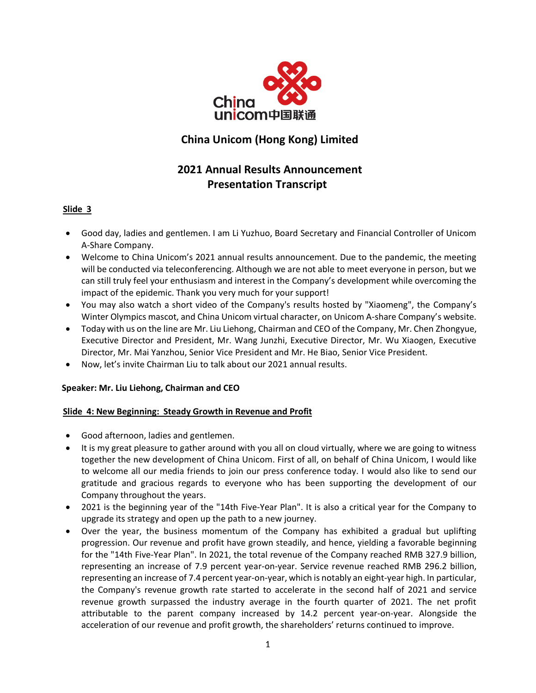

# **China Unicom (Hong Kong) Limited**

# **2021 Annual Results Announcement Presentation Transcript**

# **Slide 3**

- Good day, ladies and gentlemen. I am Li Yuzhuo, Board Secretary and Financial Controller of Unicom A-Share Company.
- Welcome to China Unicom's 2021 annual results announcement. Due to the pandemic, the meeting will be conducted via teleconferencing. Although we are not able to meet everyone in person, but we can still truly feel your enthusiasm and interest in the Company's development while overcoming the impact of the epidemic. Thank you very much for your support!
- You may also watch a short video of the Company's results hosted by "Xiaomeng", the Company's Winter Olympics mascot, and China Unicom virtual character, on Unicom A-share Company's website.
- Today with us on the line are Mr. Liu Liehong, Chairman and CEO of the Company, Mr. Chen Zhongyue, Executive Director and President, Mr. Wang Junzhi, Executive Director, Mr. Wu Xiaogen, Executive Director, Mr. Mai Yanzhou, Senior Vice President and Mr. He Biao, Senior Vice President.
- Now, let's invite Chairman Liu to talk about our 2021 annual results.

# **Speaker: Mr. Liu Liehong, Chairman and CEO**

## **Slide 4: New Beginning: Steady Growth in Revenue and Profit**

- Good afternoon, ladies and gentlemen.
- It is my great pleasure to gather around with you all on cloud virtually, where we are going to witness together the new development of China Unicom. First of all, on behalf of China Unicom, I would like to welcome all our media friends to join our press conference today. I would also like to send our gratitude and gracious regards to everyone who has been supporting the development of our Company throughout the years.
- 2021 is the beginning year of the "14th Five-Year Plan". It is also a critical year for the Company to upgrade its strategy and open up the path to a new journey.
- Over the year, the business momentum of the Company has exhibited a gradual but uplifting progression. Our revenue and profit have grown steadily, and hence, yielding a favorable beginning for the "14th Five-Year Plan". In 2021, the total revenue of the Company reached RMB 327.9 billion, representing an increase of 7.9 percent year-on-year. Service revenue reached RMB 296.2 billion, representing an increase of 7.4 percent year-on-year, which is notably an eight-year high. In particular, the Company's revenue growth rate started to accelerate in the second half of 2021 and service revenue growth surpassed the industry average in the fourth quarter of 2021. The net profit attributable to the parent company increased by 14.2 percent year-on-year. Alongside the acceleration of our revenue and profit growth, the shareholders' returns continued to improve.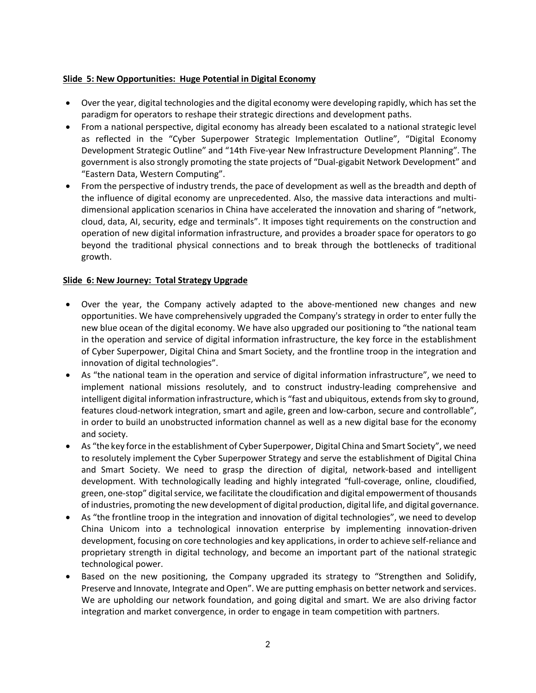## **Slide 5: New Opportunities: Huge Potential in Digital Economy**

- Over the year, digital technologies and the digital economy were developing rapidly, which has set the paradigm for operators to reshape their strategic directions and development paths.
- From a national perspective, digital economy has already been escalated to a national strategic level as reflected in the "Cyber Superpower Strategic Implementation Outline", "Digital Economy Development Strategic Outline" and "14th Five-year New Infrastructure Development Planning". The government is also strongly promoting the state projects of "Dual-gigabit Network Development" and "Eastern Data, Western Computing".
- From the perspective of industry trends, the pace of development as well as the breadth and depth of the influence of digital economy are unprecedented. Also, the massive data interactions and multidimensional application scenarios in China have accelerated the innovation and sharing of "network, cloud, data, AI, security, edge and terminals". It imposes tight requirements on the construction and operation of new digital information infrastructure, and provides a broader space for operators to go beyond the traditional physical connections and to break through the bottlenecks of traditional growth.

# **Slide 6: New Journey: Total Strategy Upgrade**

- Over the year, the Company actively adapted to the above-mentioned new changes and new opportunities. We have comprehensively upgraded the Company's strategy in order to enter fully the new blue ocean of the digital economy. We have also upgraded our positioning to "the national team in the operation and service of digital information infrastructure, the key force in the establishment of Cyber Superpower, Digital China and Smart Society, and the frontline troop in the integration and innovation of digital technologies".
- As "the national team in the operation and service of digital information infrastructure", we need to implement national missions resolutely, and to construct industry-leading comprehensive and intelligent digital information infrastructure, which is "fast and ubiquitous, extends from sky to ground, features cloud-network integration, smart and agile, green and low-carbon, secure and controllable", in order to build an unobstructed information channel as well as a new digital base for the economy and society.
- As "the key force in the establishment of Cyber Superpower, Digital China and Smart Society", we need to resolutely implement the Cyber Superpower Strategy and serve the establishment of Digital China and Smart Society. We need to grasp the direction of digital, network-based and intelligent development. With technologically leading and highly integrated "full-coverage, online, cloudified, green, one-stop" digital service, we facilitate the cloudification and digital empowerment of thousands of industries, promoting the new development of digital production, digital life, and digital governance.
- As "the frontline troop in the integration and innovation of digital technologies", we need to develop China Unicom into a technological innovation enterprise by implementing innovation-driven development, focusing on core technologies and key applications, in order to achieve self-reliance and proprietary strength in digital technology, and become an important part of the national strategic technological power.
- Based on the new positioning, the Company upgraded its strategy to "Strengthen and Solidify, Preserve and Innovate, Integrate and Open". We are putting emphasis on better network and services. We are upholding our network foundation, and going digital and smart. We are also driving factor integration and market convergence, in order to engage in team competition with partners.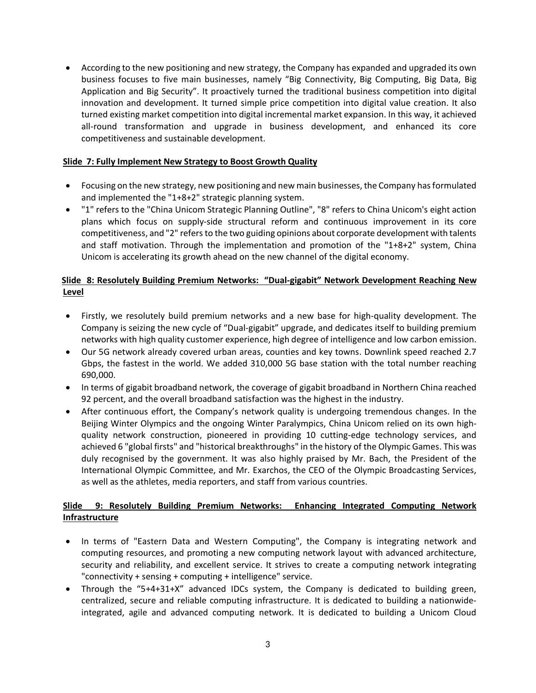• According to the new positioning and new strategy, the Company has expanded and upgraded its own business focuses to five main businesses, namely "Big Connectivity, Big Computing, Big Data, Big Application and Big Security". It proactively turned the traditional business competition into digital innovation and development. It turned simple price competition into digital value creation. It also turned existing market competition into digital incremental market expansion. In this way, it achieved all-round transformation and upgrade in business development, and enhanced its core competitiveness and sustainable development.

# **Slide 7: Fully Implement New Strategy to Boost Growth Quality**

- Focusing on the new strategy, new positioning and new main businesses, the Company has formulated and implemented the "1+8+2" strategic planning system.
- "1" refers to the "China Unicom Strategic Planning Outline", "8" refers to China Unicom's eight action plans which focus on supply-side structural reform and continuous improvement in its core competitiveness, and "2" refers to the two guiding opinions about corporate development with talents and staff motivation. Through the implementation and promotion of the "1+8+2" system, China Unicom is accelerating its growth ahead on the new channel of the digital economy.

# **Slide 8: Resolutely Building Premium Networks: "Dual-gigabit" Network Development Reaching New Level**

- Firstly, we resolutely build premium networks and a new base for high-quality development. The Company is seizing the new cycle of "Dual-gigabit" upgrade, and dedicates itself to building premium networks with high quality customer experience, high degree of intelligence and low carbon emission.
- Our 5G network already covered urban areas, counties and key towns. Downlink speed reached 2.7 Gbps, the fastest in the world. We added 310,000 5G base station with the total number reaching 690,000.
- In terms of gigabit broadband network, the coverage of gigabit broadband in Northern China reached 92 percent, and the overall broadband satisfaction was the highest in the industry.
- After continuous effort, the Company's network quality is undergoing tremendous changes. In the Beijing Winter Olympics and the ongoing Winter Paralympics, China Unicom relied on its own highquality network construction, pioneered in providing 10 cutting-edge technology services, and achieved 6 "global firsts" and "historical breakthroughs" in the history of the Olympic Games. This was duly recognised by the government. It was also highly praised by Mr. Bach, the President of the International Olympic Committee, and Mr. Exarchos, the CEO of the Olympic Broadcasting Services, as well as the athletes, media reporters, and staff from various countries.

# **Slide 9: Resolutely Building Premium Networks: Enhancing Integrated Computing Network Infrastructure**

- In terms of "Eastern Data and Western Computing", the Company is integrating network and computing resources, and promoting a new computing network layout with advanced architecture, security and reliability, and excellent service. It strives to create a computing network integrating "connectivity + sensing + computing + intelligence" service.
- Through the "5+4+31+X" advanced IDCs system, the Company is dedicated to building green, centralized, secure and reliable computing infrastructure. It is dedicated to building a nationwideintegrated, agile and advanced computing network. It is dedicated to building a Unicom Cloud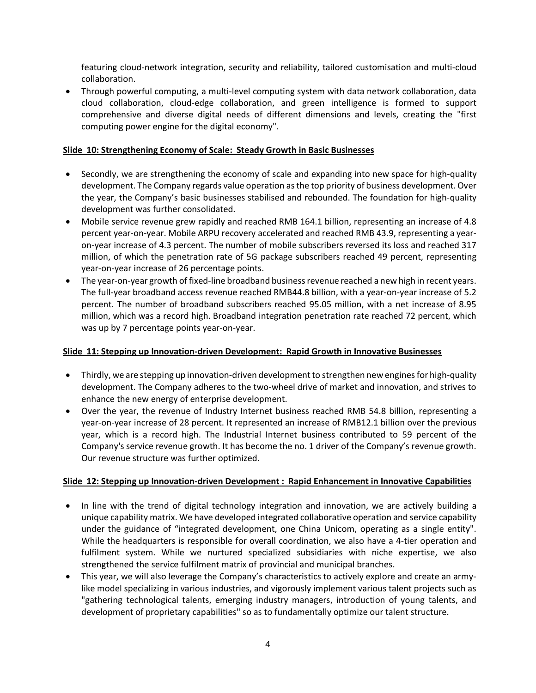featuring cloud-network integration, security and reliability, tailored customisation and multi-cloud collaboration.

• Through powerful computing, a multi-level computing system with data network collaboration, data cloud collaboration, cloud-edge collaboration, and green intelligence is formed to support comprehensive and diverse digital needs of different dimensions and levels, creating the "first computing power engine for the digital economy".

#### **Slide 10: Strengthening Economy of Scale: Steady Growth in Basic Businesses**

- Secondly, we are strengthening the economy of scale and expanding into new space for high-quality development. The Company regards value operation as the top priority of business development. Over the year, the Company's basic businesses stabilised and rebounded. The foundation for high-quality development was further consolidated.
- Mobile service revenue grew rapidly and reached RMB 164.1 billion, representing an increase of 4.8 percent year-on-year. Mobile ARPU recovery accelerated and reached RMB 43.9, representing a yearon-year increase of 4.3 percent. The number of mobile subscribers reversed its loss and reached 317 million, of which the penetration rate of 5G package subscribers reached 49 percent, representing year-on-year increase of 26 percentage points.
- The year-on-year growth of fixed-line broadband business revenue reached a new high in recent years. The full-year broadband access revenue reached RMB44.8 billion, with a year-on-year increase of 5.2 percent. The number of broadband subscribers reached 95.05 million, with a net increase of 8.95 million, which was a record high. Broadband integration penetration rate reached 72 percent, which was up by 7 percentage points year-on-year.

#### **Slide 11: Stepping up Innovation-driven Development: Rapid Growth in Innovative Businesses**

- Thirdly, we are stepping up innovation-driven development to strengthen new engines for high-quality development. The Company adheres to the two-wheel drive of market and innovation, and strives to enhance the new energy of enterprise development.
- Over the year, the revenue of Industry Internet business reached RMB 54.8 billion, representing a year-on-year increase of 28 percent. It represented an increase of RMB12.1 billion over the previous year, which is a record high. The Industrial Internet business contributed to 59 percent of the Company's service revenue growth. It has become the no. 1 driver of the Company's revenue growth. Our revenue structure was further optimized.

#### **Slide 12: Stepping up Innovation-driven Development : Rapid Enhancement in Innovative Capabilities**

- In line with the trend of digital technology integration and innovation, we are actively building a unique capability matrix. We have developed integrated collaborative operation and service capability under the guidance of "integrated development, one China Unicom, operating as a single entity". While the headquarters is responsible for overall coordination, we also have a 4-tier operation and fulfilment system. While we nurtured specialized subsidiaries with niche expertise, we also strengthened the service fulfilment matrix of provincial and municipal branches.
- This year, we will also leverage the Company's characteristics to actively explore and create an armylike model specializing in various industries, and vigorously implement various talent projects such as "gathering technological talents, emerging industry managers, introduction of young talents, and development of proprietary capabilities" so as to fundamentally optimize our talent structure.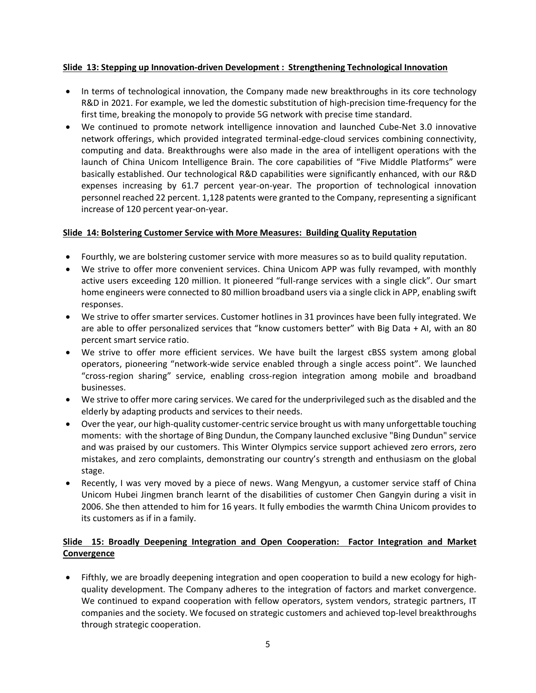## **Slide 13: Stepping up Innovation-driven Development : Strengthening Technological Innovation**

- In terms of technological innovation, the Company made new breakthroughs in its core technology R&D in 2021. For example, we led the domestic substitution of high-precision time-frequency for the first time, breaking the monopoly to provide 5G network with precise time standard.
- We continued to promote network intelligence innovation and launched Cube-Net 3.0 innovative network offerings, which provided integrated terminal-edge-cloud services combining connectivity, computing and data. Breakthroughs were also made in the area of intelligent operations with the launch of China Unicom Intelligence Brain. The core capabilities of "Five Middle Platforms" were basically established. Our technological R&D capabilities were significantly enhanced, with our R&D expenses increasing by 61.7 percent year-on-year. The proportion of technological innovation personnel reached 22 percent. 1,128 patents were granted to the Company, representing a significant increase of 120 percent year-on-year.

## **Slide 14: Bolstering Customer Service with More Measures: Building Quality Reputation**

- Fourthly, we are bolstering customer service with more measures so as to build quality reputation.
- We strive to offer more convenient services. China Unicom APP was fully revamped, with monthly active users exceeding 120 million. It pioneered "full-range services with a single click". Our smart home engineers were connected to 80 million broadband users via a single click in APP, enabling swift responses.
- We strive to offer smarter services. Customer hotlines in 31 provinces have been fully integrated. We are able to offer personalized services that "know customers better" with Big Data + AI, with an 80 percent smart service ratio.
- We strive to offer more efficient services. We have built the largest cBSS system among global operators, pioneering "network-wide service enabled through a single access point". We launched "cross-region sharing" service, enabling cross-region integration among mobile and broadband businesses.
- We strive to offer more caring services. We cared for the underprivileged such as the disabled and the elderly by adapting products and services to their needs.
- Over the year, our high-quality customer-centric service brought us with many unforgettable touching moments: with the shortage of Bing Dundun, the Company launched exclusive "Bing Dundun" service and was praised by our customers. This Winter Olympics service support achieved zero errors, zero mistakes, and zero complaints, demonstrating our country's strength and enthusiasm on the global stage.
- Recently, I was very moved by a piece of news. Wang Mengyun, a customer service staff of China Unicom Hubei Jingmen branch learnt of the disabilities of customer Chen Gangyin during a visit in 2006. She then attended to him for 16 years. It fully embodies the warmth China Unicom provides to its customers as if in a family.

# **Slide 15: Broadly Deepening Integration and Open Cooperation: Factor Integration and Market Convergence**

• Fifthly, we are broadly deepening integration and open cooperation to build a new ecology for highquality development. The Company adheres to the integration of factors and market convergence. We continued to expand cooperation with fellow operators, system vendors, strategic partners, IT companies and the society. We focused on strategic customers and achieved top-level breakthroughs through strategic cooperation.